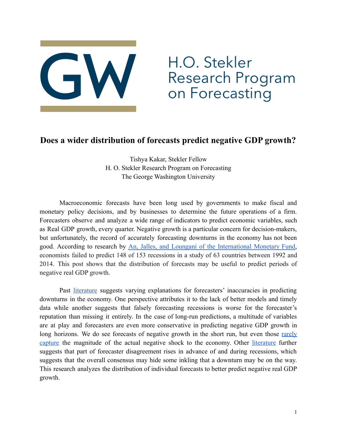

H.O. Stekler Research Program<br>on Forecasting

## **Does a wider distribution of forecasts predict negative GDP growth?**

Tishya Kakar, Stekler Fellow H. O. Stekler Research Program on Forecasting The George Washington University

Macroeconomic forecasts have been long used by governments to make fiscal and monetary policy decisions, and by businesses to determine the future operations of a firm. Forecasters observe and analyze a wide range of indicators to predict economic variables, such as Real GDP growth, every quarter. Negative growth is a particular concern for decision-makers, but unfortunately, the record of accurately forecasting downturns in the economy has not been good. According to research by An, Jalles, and Loungani of the [International](https://www.imf.org/en/Publications/WP/Issues/2018/03/05/How-Well-Do-Economists-Forecast-Recessions-45672) Monetary Fund, economists failed to predict 148 of 153 recessions in a study of 63 countries between 1992 and 2014. This post shows that the distribution of forecasts may be useful to predict periods of negative real GDP growth.

Past [literature](https://www.peterlang.com/view/9783631818701/html/ch10.xhtml) suggests varying explanations for forecasters' inaccuracies in predicting downturns in the economy. One perspective attributes it to the lack of better models and timely data while another suggests that falsely forecasting recessions is worse for the forecaster's reputation than missing it entirely. In the case of long-run predictions, a multitude of variables are at play and forecasters are even more conservative in predicting negative GDP growth in long horizons. We do see forecasts of negative growth in the short run, but even those [rarely](https://www.oecd.org/economy/growth/Lessons-from-OECD-forecasts-during-and-after-the-financial-crisis-OECD-Journal-Economic-Studies-2014.pdf) [capture](https://www.oecd.org/economy/growth/Lessons-from-OECD-forecasts-during-and-after-the-financial-crisis-OECD-Journal-Economic-Studies-2014.pdf) the magnitude of the actual negative shock to the economy. Other [literature](https://www.tandfonline.com/doi/abs/10.1080/13504851.2020.1730751) further suggests that part of forecaster disagreement rises in advance of and during recessions, which suggests that the overall consensus may hide some inkling that a downturn may be on the way. This research analyzes the distribution of individual forecasts to better predict negative real GDP growth.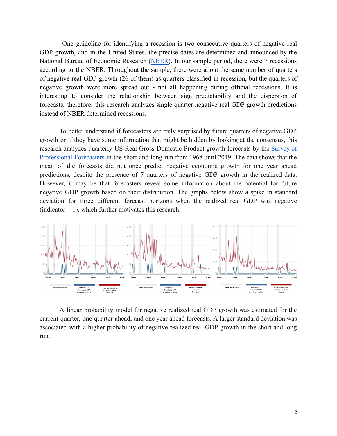One guideline for identifying a recession is two consecutive quarters of negative real GDP growth, and in the United States, the precise dates are determined and announced by the National Bureau of Economic Research [\(NBER](https://www.nber.org/research/data/us-business-cycle-expansions-and-contractions)). In our sample period, there were 7 recessions according to the NBER. Throughout the sample, there were about the same number of quarters of negative real GDP growth (26 of them) as quarters classified in recession, but the quarters of negative growth were more spread out - not all happening during official recessions. It is interesting to consider the relationship between sign predictability and the dispersion of forecasts, therefore, this research analyzes single quarter negative real GDP growth predictions instead of NBER determined recessions.

To better understand if forecasters are truly surprised by future quarters of negative GDP growth or if they have some information that might be hidden by looking at the consensus, this research analyzes quarterly US Real Gross Domestic Product growth forecasts by the [Survey](https://www.philadelphiafed.org/surveys-and-data/real-time-data-research/survey-of-professional-forecasters) of [Professional](https://www.philadelphiafed.org/surveys-and-data/real-time-data-research/survey-of-professional-forecasters) Forecasters in the short and long run from 1968 until 2019. The data shows that the mean of the forecasts did not once predict negative economic growth for one year ahead predictions, despite the presence of 7 quarters of negative GDP growth in the realized data. However, it may be that forecasters reveal some information about the potential for future negative GDP growth based on their distribution. The graphs below show a spike in standard deviation for three different forecast horizons when the realized real GDP was negative  $(indicate - 1)$ , which further motivates this research.



A linear probability model for negative realized real GDP growth was estimated for the current quarter, one quarter ahead, and one year ahead forecasts. A larger standard deviation was associated with a higher probability of negative realized real GDP growth in the short and long run.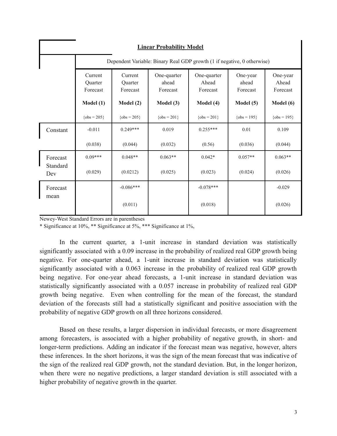| <b>Linear Probability Model</b> |                                                                         |                                |                                  |                                  |                               |                               |
|---------------------------------|-------------------------------------------------------------------------|--------------------------------|----------------------------------|----------------------------------|-------------------------------|-------------------------------|
|                                 | Dependent Variable: Binary Real GDP growth (1 if negative, 0 otherwise) |                                |                                  |                                  |                               |                               |
|                                 | Current<br>Quarter<br>Forecast                                          | Current<br>Quarter<br>Forecast | One-quarter<br>ahead<br>Forecast | One-quarter<br>Ahead<br>Forecast | One-year<br>ahead<br>Forecast | One-year<br>Ahead<br>Forecast |
|                                 | Model(1)                                                                | Model(2)                       | Model (3)                        | Model (4)                        | Model (5)                     | Model (6)                     |
|                                 | $\{obs = 205\}$                                                         | ${obs = 205}$                  | ${obs = 201}$                    | $\{obs = 201\}$                  | ${obs = 195}$                 | ${obs = 195}$                 |
| Constant                        | $-0.011$                                                                | $0.249***$                     | 0.019                            | $0.255***$                       | 0.01                          | 0.109                         |
|                                 | (0.038)                                                                 | (0.044)                        | (0.032)                          | (0.56)                           | (0.036)                       | (0.044)                       |
| Forecast<br>Standard<br>Dev     | $0.09***$                                                               | $0.048**$                      | $0.063**$                        | $0.042*$                         | $0.057**$                     | $0.063**$                     |
|                                 | (0.029)                                                                 | (0.0212)                       | (0.025)                          | (0.023)                          | (0.024)                       | (0.026)                       |
| Forecast<br>mean                |                                                                         | $-0.086***$                    |                                  | $-0.078***$                      |                               | $-0.029$                      |
|                                 |                                                                         | (0.011)                        |                                  | (0.018)                          |                               | (0.026)                       |

Newey-West Standard Errors are in parentheses

\* Significance at 10%, \*\* Significance at 5%, \*\*\* Significance at 1%,

In the current quarter, a 1-unit increase in standard deviation was statistically significantly associated with a 0.09 increase in the probability of realized real GDP growth being negative. For one-quarter ahead, a 1-unit increase in standard deviation was statistically significantly associated with a 0.063 increase in the probability of realized real GDP growth being negative. For one-year ahead forecasts, a 1-unit increase in standard deviation was statistically significantly associated with a 0.057 increase in probability of realized real GDP growth being negative. Even when controlling for the mean of the forecast, the standard deviation of the forecasts still had a statistically significant and positive association with the probability of negative GDP growth on all three horizons considered.

Based on these results, a larger dispersion in individual forecasts, or more disagreement among forecasters, is associated with a higher probability of negative growth, in short- and longer-term predictions. Adding an indicator if the forecast mean was negative, however, alters these inferences. In the short horizons, it was the sign of the mean forecast that was indicative of the sign of the realized real GDP growth, not the standard deviation. But, in the longer horizon, when there were no negative predictions, a larger standard deviation is still associated with a higher probability of negative growth in the quarter.